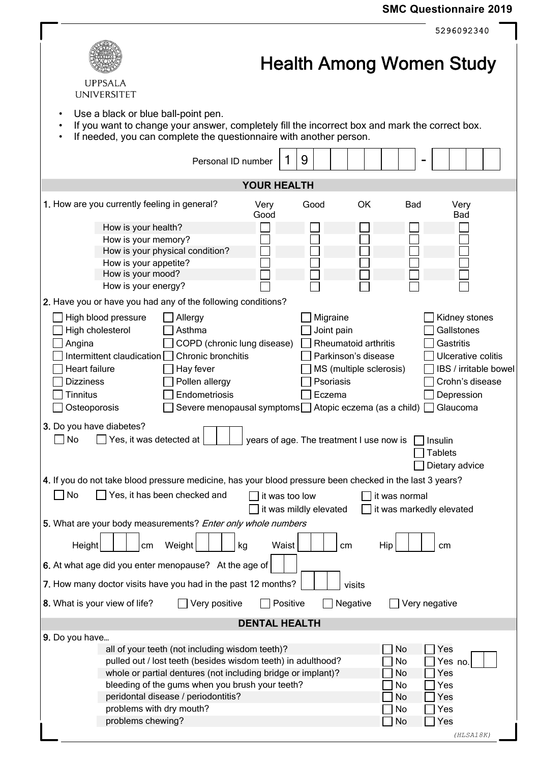## **SMC Questionnaire 2019**

|                                                                                                                                                                                                                                                                                                                                              | 5296092340                                                                                                                                                                                                                                                                                    |  |  |  |  |  |  |
|----------------------------------------------------------------------------------------------------------------------------------------------------------------------------------------------------------------------------------------------------------------------------------------------------------------------------------------------|-----------------------------------------------------------------------------------------------------------------------------------------------------------------------------------------------------------------------------------------------------------------------------------------------|--|--|--|--|--|--|
| <b>UPPSALA</b><br><b>UNIVERSITET</b>                                                                                                                                                                                                                                                                                                         | <b>Health Among Women Study</b>                                                                                                                                                                                                                                                               |  |  |  |  |  |  |
| Use a black or blue ball-point pen.<br>٠<br>If you want to change your answer, completely fill the incorrect box and mark the correct box.<br>If needed, you can complete the questionnaire with another person.                                                                                                                             |                                                                                                                                                                                                                                                                                               |  |  |  |  |  |  |
| Personal ID number                                                                                                                                                                                                                                                                                                                           | 9                                                                                                                                                                                                                                                                                             |  |  |  |  |  |  |
| <b>YOUR HEALTH</b>                                                                                                                                                                                                                                                                                                                           |                                                                                                                                                                                                                                                                                               |  |  |  |  |  |  |
| 1. How are you currently feeling in general?<br>Very<br>Good                                                                                                                                                                                                                                                                                 | OK<br>Very<br>Good<br><b>Bad</b><br><b>Bad</b>                                                                                                                                                                                                                                                |  |  |  |  |  |  |
| How is your health?<br>How is your memory?<br>How is your physical condition?<br>How is your appetite?<br>How is your mood?<br>How is your energy?<br>2. Have you or have you had any of the following conditions?                                                                                                                           |                                                                                                                                                                                                                                                                                               |  |  |  |  |  |  |
| High blood pressure<br>Allergy<br>High cholesterol<br>Asthma<br>COPD (chronic lung disease)<br>Angina<br>Intermittent claudication<br>Chronic bronchitis<br>Heart failure<br>Hay fever<br>Pollen allergy<br><b>Dizziness</b><br>Endometriosis<br>Tinnitus<br>Osteoporosis<br>Severe menopausal symptoms                                      | Migraine<br>Kidney stones<br>Gallstones<br>Joint pain<br>Rheumatoid arthritis<br>Gastritis<br>Ulcerative colitis<br>Parkinson's disease<br>IBS / irritable bowel<br>MS (multiple sclerosis)<br>Psoriasis<br>Crohn's disease<br>Depression<br>Eczema<br>Glaucoma<br>Atopic eczema (as a child) |  |  |  |  |  |  |
| 3. Do you have diabetes?<br>No<br>Yes, it was detected at<br>years of age. The treatment I use now is<br>Insulin<br><b>Tablets</b><br>Dietary advice                                                                                                                                                                                         |                                                                                                                                                                                                                                                                                               |  |  |  |  |  |  |
| 4. If you do not take blood pressure medicine, has your blood pressure been checked in the last 3 years?<br>Yes, it has been checked and<br>No<br>$\sim$<br>it was too low<br>it was normal<br>it was mildly elevated<br>it was markedly elevated                                                                                            |                                                                                                                                                                                                                                                                                               |  |  |  |  |  |  |
| 5. What are your body measurements? Enter only whole numbers                                                                                                                                                                                                                                                                                 |                                                                                                                                                                                                                                                                                               |  |  |  |  |  |  |
| Waist<br>Height<br>Weight<br>cm<br>kg<br>6. At what age did you enter menopause? At the age of                                                                                                                                                                                                                                               | Hip<br>cm<br>сm                                                                                                                                                                                                                                                                               |  |  |  |  |  |  |
| 7. How many doctor visits have you had in the past 12 months?                                                                                                                                                                                                                                                                                | visits                                                                                                                                                                                                                                                                                        |  |  |  |  |  |  |
| 8. What is your view of life?<br>Very positive<br>Positive                                                                                                                                                                                                                                                                                   | Negative<br>Very negative                                                                                                                                                                                                                                                                     |  |  |  |  |  |  |
| <b>DENTAL HEALTH</b>                                                                                                                                                                                                                                                                                                                         |                                                                                                                                                                                                                                                                                               |  |  |  |  |  |  |
| 9. Do you have<br>all of your teeth (not including wisdom teeth)?<br>pulled out / lost teeth (besides wisdom teeth) in adulthood?<br>whole or partial dentures (not including bridge or implant)?<br>bleeding of the gums when you brush your teeth?<br>peridontal disease / periodontitis?<br>problems with dry mouth?<br>problems chewing? | No<br>Yes<br>No<br>Yes no.<br>No<br>Yes<br>No<br>Yes<br>No<br>Yes<br>No<br>Yes<br>No<br>Yes                                                                                                                                                                                                   |  |  |  |  |  |  |
|                                                                                                                                                                                                                                                                                                                                              | (HLSA18K)                                                                                                                                                                                                                                                                                     |  |  |  |  |  |  |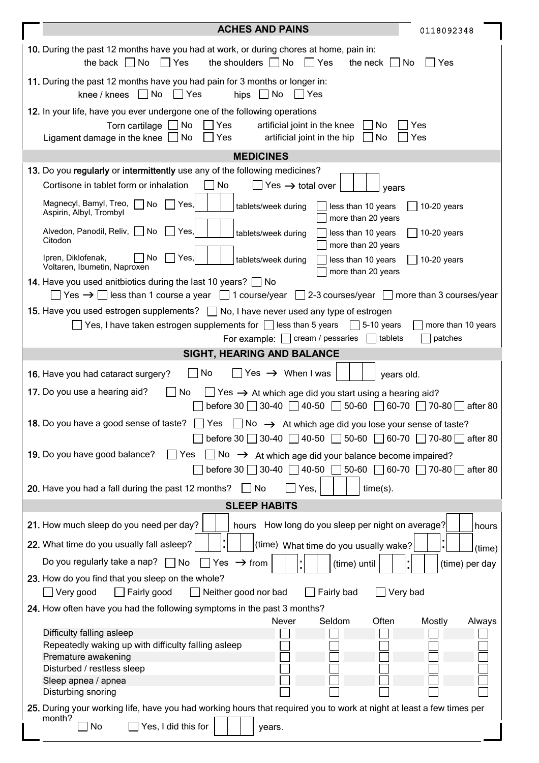|                                                                                                                                                                                                                | <b>ACHES AND PAINS</b><br>0118092348                                                                                                                                                                                               |  |  |  |  |
|----------------------------------------------------------------------------------------------------------------------------------------------------------------------------------------------------------------|------------------------------------------------------------------------------------------------------------------------------------------------------------------------------------------------------------------------------------|--|--|--|--|
|                                                                                                                                                                                                                | 10. During the past 12 months have you had at work, or during chores at home, pain in:<br>the back $\Box$ No<br>$\Box$ Yes<br>the shoulders $\Box$ No<br>$\Box$ Yes<br>the neck $\vert \vert$ No<br>Yes                            |  |  |  |  |
|                                                                                                                                                                                                                | 11. During the past 12 months have you had pain for 3 months or longer in:<br>knee / knees $\Box$ No $\Box$ Yes<br>hips $\Box$ No<br>  Yes                                                                                         |  |  |  |  |
|                                                                                                                                                                                                                | 12. In your life, have you ever undergone one of the following operations                                                                                                                                                          |  |  |  |  |
|                                                                                                                                                                                                                | Torn cartilage $\Box$ No<br>$\Box$ Yes<br>artificial joint in the knee<br>No<br>Yes<br>Ligament damage in the knee $\Box$ No<br>$\Box$ Yes<br>artificial joint in the hip<br>No<br>Yes                                             |  |  |  |  |
|                                                                                                                                                                                                                | <b>MEDICINES</b>                                                                                                                                                                                                                   |  |  |  |  |
|                                                                                                                                                                                                                | 13. Do you regularly or intermittently use any of the following medicines?                                                                                                                                                         |  |  |  |  |
|                                                                                                                                                                                                                | No<br>Cortisone in tablet form or inhalation<br>Yes $\rightarrow$ total over<br>years                                                                                                                                              |  |  |  |  |
|                                                                                                                                                                                                                | Magnecyl, Bamyl, Treo, No<br>Yes,<br>tablets/week during<br>less than 10 years<br>$10-20$ years<br>Aspirin, Albyl, Trombyl<br>more than 20 years                                                                                   |  |  |  |  |
|                                                                                                                                                                                                                | Alvedon, Panodil, Reliv,  <br>No<br>Yes.<br>less than 10 years<br>tablets/week during<br>$10-20$ years<br>Citodon<br>more than 20 years                                                                                            |  |  |  |  |
|                                                                                                                                                                                                                | Ipren, Diklofenak,<br><b>No</b><br>Yes,<br>tablets/week during<br>less than 10 years<br>$10-20$ years<br>Voltaren, Ibumetin, Naproxen<br>more than 20 years                                                                        |  |  |  |  |
|                                                                                                                                                                                                                | 14. Have you used anitbiotics during the last 10 years? $\Box$ No<br>$\Box$ Yes $\rightarrow$ $\Box$ less than 1 course a year $\Box$ 1 course/year $\Box$ 2-3 courses/year $\Box$ more than 3 courses/year                        |  |  |  |  |
|                                                                                                                                                                                                                | 15. Have you used estrogen supplements?   No, I have never used any type of estrogen                                                                                                                                               |  |  |  |  |
|                                                                                                                                                                                                                | Yes, I have taken estrogen supplements for $\Box$ less than 5 years<br>5-10 years<br>more than 10 years<br>For example: $\Box$ cream / pessaries<br>tablets<br>patches                                                             |  |  |  |  |
|                                                                                                                                                                                                                | SIGHT, HEARING AND BALANCE                                                                                                                                                                                                         |  |  |  |  |
|                                                                                                                                                                                                                | Yes $\rightarrow$ When I was<br>No<br>16. Have you had cataract surgery?<br>years old.                                                                                                                                             |  |  |  |  |
|                                                                                                                                                                                                                | 17. Do you use a hearing aid?<br>No<br>$\blacksquare$                                                                                                                                                                              |  |  |  |  |
| $\Box$ Yes $\rightarrow$ At which age did you start using a hearing aid?<br>before 30 $\Box$ 30-40 $\Box$ 40-50 $\Box$ 50-60 $\Box$ 60-70 $\Box$ 70-80 $\Box$ after 80                                         |                                                                                                                                                                                                                                    |  |  |  |  |
| 18. Do you have a good sense of taste?<br>Yes<br>No $\rightarrow$ At which age did you lose your sense of taste?<br>before 30 $\Box$ 30-40 $\Box$ 40-50 $\Box$ 50-60 $\Box$ 60-70 $\Box$ 70-80 $\Box$ after 80 |                                                                                                                                                                                                                                    |  |  |  |  |
| 19. Do you have good balance?<br>Yes<br>No $\rightarrow$ At which age did your balance become impaired?<br>before 30 $\Box$ 30-40 $\Box$ 40-50 $\Box$ 50-60 $\Box$ 60-70 $\Box$ 70-80 $\Box$ after 80          |                                                                                                                                                                                                                                    |  |  |  |  |
| 20. Have you had a fall during the past 12 months?<br>No<br>$time(s)$ .<br>Yes,                                                                                                                                |                                                                                                                                                                                                                                    |  |  |  |  |
| <b>SLEEP HABITS</b>                                                                                                                                                                                            |                                                                                                                                                                                                                                    |  |  |  |  |
|                                                                                                                                                                                                                | 21. How much sleep do you need per day?<br>hours How long do you sleep per night on average?<br>hours                                                                                                                              |  |  |  |  |
|                                                                                                                                                                                                                | $\ddot{\phantom{0}}$<br>22. What time do you usually fall asleep?<br>(time) What time do you usually wake?<br>(time)                                                                                                               |  |  |  |  |
|                                                                                                                                                                                                                | Do you regularly take a nap? $\Box$ No<br>$\Box$ Yes $\rightarrow$ from<br>(time) until<br>(time) per day                                                                                                                          |  |  |  |  |
|                                                                                                                                                                                                                | 23. How do you find that you sleep on the whole?<br>Very good<br>Fairly good<br>Neither good nor bad<br>Very bad<br>Fairly bad<br>$\Box$                                                                                           |  |  |  |  |
|                                                                                                                                                                                                                | 24. How often have you had the following symptoms in the past 3 months?                                                                                                                                                            |  |  |  |  |
|                                                                                                                                                                                                                | Never<br>Seldom<br>Often<br>Mostly<br>Always<br>Difficulty falling asleep<br>Repeatedly waking up with difficulty falling asleep<br>Premature awakening<br>Disturbed / restless sleep<br>Sleep apnea / apnea<br>Disturbing snoring |  |  |  |  |
|                                                                                                                                                                                                                | 25. During your working life, have you had working hours that required you to work at night at least a few times per<br>month?                                                                                                     |  |  |  |  |
|                                                                                                                                                                                                                | Yes, I did this for<br>No<br>years.                                                                                                                                                                                                |  |  |  |  |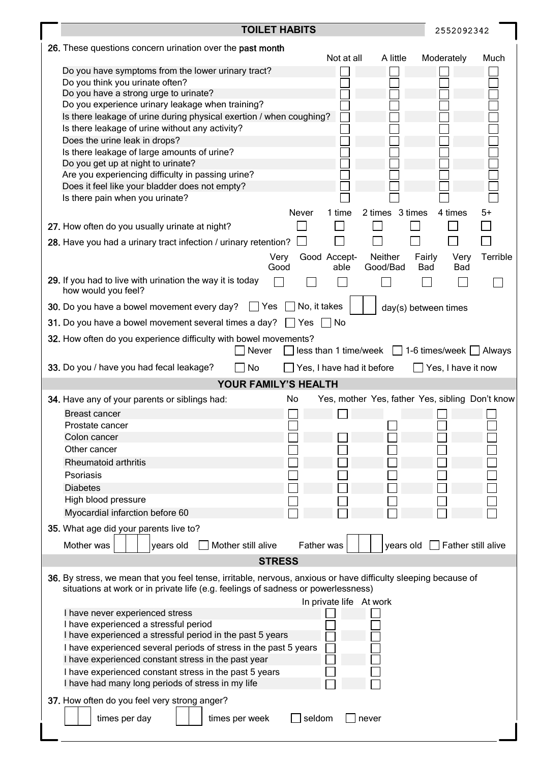| <b>TOILET HABITS</b>                                                                                                                                                                                | 2552092342                                                  |                                                 |
|-----------------------------------------------------------------------------------------------------------------------------------------------------------------------------------------------------|-------------------------------------------------------------|-------------------------------------------------|
| 26. These questions concern urination over the past month                                                                                                                                           |                                                             |                                                 |
| Do you have symptoms from the lower urinary tract?<br>Do you think you urinate often?                                                                                                               | Not at all<br>A little                                      | Moderately<br>Much                              |
| Do you have a strong urge to urinate?                                                                                                                                                               |                                                             |                                                 |
| Do you experience urinary leakage when training?                                                                                                                                                    |                                                             |                                                 |
| Is there leakage of urine during physical exertion / when coughing?                                                                                                                                 |                                                             |                                                 |
| Is there leakage of urine without any activity?                                                                                                                                                     |                                                             |                                                 |
| Does the urine leak in drops?                                                                                                                                                                       |                                                             |                                                 |
| Is there leakage of large amounts of urine?                                                                                                                                                         |                                                             |                                                 |
| Do you get up at night to urinate?<br>Are you experiencing difficulty in passing urine?                                                                                                             |                                                             |                                                 |
| Does it feel like your bladder does not empty?                                                                                                                                                      |                                                             |                                                 |
| Is there pain when you urinate?                                                                                                                                                                     |                                                             |                                                 |
|                                                                                                                                                                                                     | 2 times 3 times<br>Never<br>1 time                          | 4 times<br>5+                                   |
| 27. How often do you usually urinate at night?                                                                                                                                                      |                                                             |                                                 |
| 28. Have you had a urinary tract infection / urinary retention?                                                                                                                                     |                                                             |                                                 |
|                                                                                                                                                                                                     | Good Accept-<br>Neither<br>Very<br>Good<br>Good/Bad<br>able | Terrible<br>Very<br>Fairly<br>Bad<br><b>Bad</b> |
| 29. If you had to live with urination the way it is today                                                                                                                                           |                                                             |                                                 |
| how would you feel?<br><b>30.</b> Do you have a bowel movement every day? Thes                                                                                                                      | No, it takes                                                | day(s) between times                            |
| 31. Do you have a bowel movement several times a day?                                                                                                                                               | No<br>∣ ∣Yes                                                |                                                 |
|                                                                                                                                                                                                     |                                                             |                                                 |
| 32. How often do you experience difficulty with bowel movements?<br>Never                                                                                                                           | $less than 1 time/week$ 1-6 times/week $\Box$ Always        |                                                 |
| 33. Do you / have you had fecal leakage?<br>No                                                                                                                                                      | Yes, I have had it before                                   | Yes, I have it now                              |
|                                                                                                                                                                                                     | <b>YOUR FAMILY'S HEALTH</b>                                 |                                                 |
| 34. Have any of your parents or siblings had:                                                                                                                                                       |                                                             |                                                 |
|                                                                                                                                                                                                     | No                                                          | Yes, mother Yes, father Yes, sibling Don't know |
| <b>Breast cancer</b>                                                                                                                                                                                |                                                             |                                                 |
| Prostate cancer                                                                                                                                                                                     |                                                             |                                                 |
| Colon cancer                                                                                                                                                                                        |                                                             |                                                 |
| Other cancer                                                                                                                                                                                        |                                                             |                                                 |
| Rheumatoid arthritis                                                                                                                                                                                |                                                             |                                                 |
| Psoriasis                                                                                                                                                                                           |                                                             |                                                 |
| <b>Diabetes</b>                                                                                                                                                                                     |                                                             |                                                 |
| High blood pressure                                                                                                                                                                                 |                                                             |                                                 |
| Myocardial infarction before 60                                                                                                                                                                     |                                                             |                                                 |
| 35. What age did your parents live to?<br>Mother was<br>years old<br>Mother still alive                                                                                                             | Father was<br>years old                                     | $\Box$ Father still alive                       |
|                                                                                                                                                                                                     | <b>STRESS</b>                                               |                                                 |
| 36. By stress, we mean that you feel tense, irritable, nervous, anxious or have difficulty sleeping because of<br>situations at work or in private life (e.g. feelings of sadness or powerlessness) |                                                             |                                                 |
|                                                                                                                                                                                                     | In private life At work                                     |                                                 |
| I have never experienced stress<br>I have experienced a stressful period                                                                                                                            |                                                             |                                                 |
| I have experienced a stressful period in the past 5 years                                                                                                                                           |                                                             |                                                 |
| I have experienced several periods of stress in the past 5 years                                                                                                                                    |                                                             |                                                 |
| I have experienced constant stress in the past year                                                                                                                                                 |                                                             |                                                 |
| I have experienced constant stress in the past 5 years                                                                                                                                              |                                                             |                                                 |
| I have had many long periods of stress in my life<br>37. How often do you feel very strong anger?                                                                                                   |                                                             |                                                 |